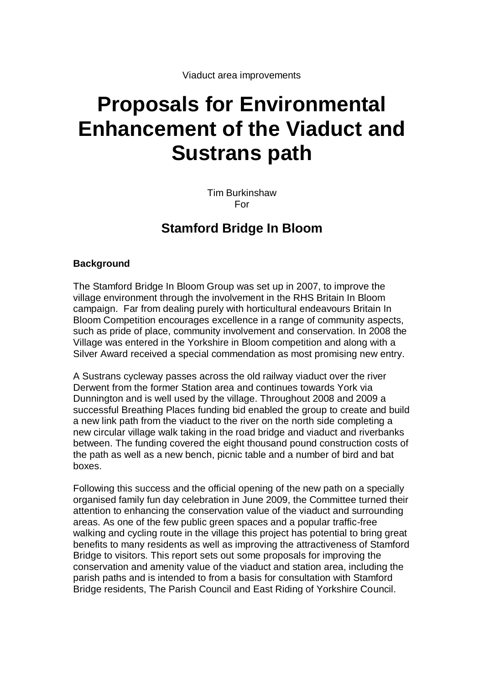# **Proposals for Environmental Enhancement of the Viaduct and Sustrans path**

Tim Burkinshaw For

# **Stamford Bridge In Bloom**

## **Background**

The Stamford Bridge In Bloom Group was set up in 2007, to improve the village environment through the involvement in the RHS Britain In Bloom campaign. Far from dealing purely with horticultural endeavours Britain In Bloom Competition encourages excellence in a range of community aspects, such as pride of place, community involvement and conservation. In 2008 the Village was entered in the Yorkshire in Bloom competition and along with a Silver Award received a special commendation as most promising new entry.

A Sustrans cycleway passes across the old railway viaduct over the river Derwent from the former Station area and continues towards York via Dunnington and is well used by the village. Throughout 2008 and 2009 a successful Breathing Places funding bid enabled the group to create and build a new link path from the viaduct to the river on the north side completing a new circular village walk taking in the road bridge and viaduct and riverbanks between. The funding covered the eight thousand pound construction costs of the path as well as a new bench, picnic table and a number of bird and bat boxes.

Following this success and the official opening of the new path on a specially organised family fun day celebration in June 2009, the Committee turned their attention to enhancing the conservation value of the viaduct and surrounding areas. As one of the few public green spaces and a popular traffic-free walking and cycling route in the village this project has potential to bring great benefits to many residents as well as improving the attractiveness of Stamford Bridge to visitors. This report sets out some proposals for improving the conservation and amenity value of the viaduct and station area, including the parish paths and is intended to from a basis for consultation with Stamford Bridge residents, The Parish Council and East Riding of Yorkshire Council.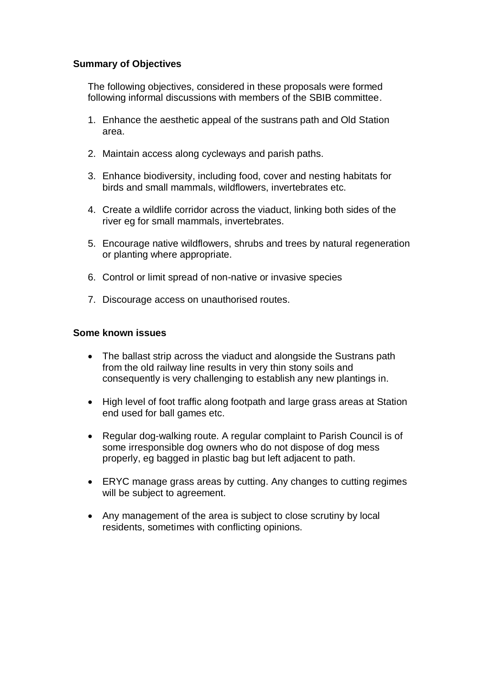#### **Summary of Objectives**

The following objectives, considered in these proposals were formed following informal discussions with members of the SBIB committee.

- 1. Enhance the aesthetic appeal of the sustrans path and Old Station area.
- 2. Maintain access along cycleways and parish paths.
- 3. Enhance biodiversity, including food, cover and nesting habitats for birds and small mammals, wildflowers, invertebrates etc.
- 4. Create a wildlife corridor across the viaduct, linking both sides of the river eg for small mammals, invertebrates.
- 5. Encourage native wildflowers, shrubs and trees by natural regeneration or planting where appropriate.
- 6. Control or limit spread of non-native or invasive species
- 7. Discourage access on unauthorised routes.

#### **Some known issues**

- The ballast strip across the viaduct and alongside the Sustrans path from the old railway line results in very thin stony soils and consequently is very challenging to establish any new plantings in.
- High level of foot traffic along footpath and large grass areas at Station end used for ball games etc.
- Regular dog-walking route. A regular complaint to Parish Council is of some irresponsible dog owners who do not dispose of dog mess properly, eg bagged in plastic bag but left adjacent to path.
- ERYC manage grass areas by cutting. Any changes to cutting regimes will be subject to agreement.
- Any management of the area is subject to close scrutiny by local residents, sometimes with conflicting opinions.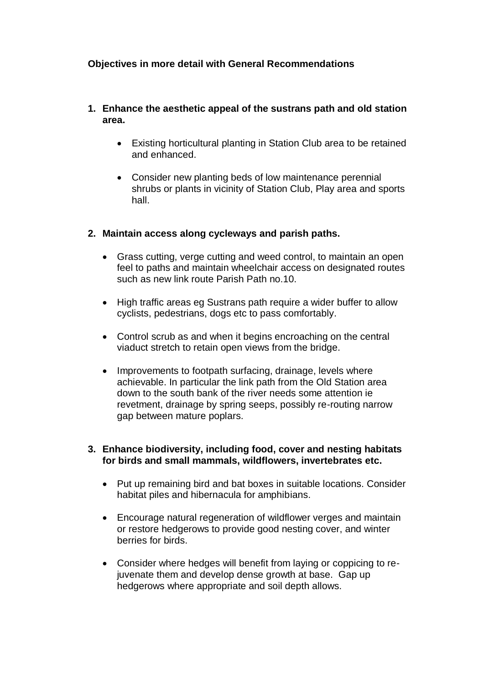# **Objectives in more detail with General Recommendations**

#### **1. Enhance the aesthetic appeal of the sustrans path and old station area.**

- Existing horticultural planting in Station Club area to be retained and enhanced.
- Consider new planting beds of low maintenance perennial shrubs or plants in vicinity of Station Club, Play area and sports hall.

#### **2. Maintain access along cycleways and parish paths.**

- Grass cutting, verge cutting and weed control, to maintain an open feel to paths and maintain wheelchair access on designated routes such as new link route Parish Path no.10.
- High traffic areas eg Sustrans path require a wider buffer to allow cyclists, pedestrians, dogs etc to pass comfortably.
- Control scrub as and when it begins encroaching on the central viaduct stretch to retain open views from the bridge.
- Improvements to footpath surfacing, drainage, levels where achievable. In particular the link path from the Old Station area down to the south bank of the river needs some attention ie revetment, drainage by spring seeps, possibly re-routing narrow gap between mature poplars.

#### **3. Enhance biodiversity, including food, cover and nesting habitats for birds and small mammals, wildflowers, invertebrates etc.**

- Put up remaining bird and bat boxes in suitable locations. Consider habitat piles and hibernacula for amphibians.
- Encourage natural regeneration of wildflower verges and maintain or restore hedgerows to provide good nesting cover, and winter berries for birds.
- Consider where hedges will benefit from laying or coppicing to rejuvenate them and develop dense growth at base. Gap up hedgerows where appropriate and soil depth allows.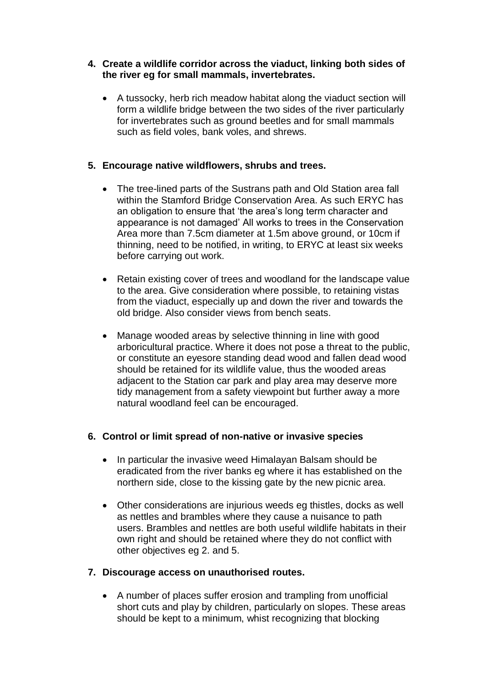## **4. Create a wildlife corridor across the viaduct, linking both sides of the river eg for small mammals, invertebrates.**

 A tussocky, herb rich meadow habitat along the viaduct section will form a wildlife bridge between the two sides of the river particularly for invertebrates such as ground beetles and for small mammals such as field voles, bank voles, and shrews.

# **5. Encourage native wildflowers, shrubs and trees.**

- The tree-lined parts of the Sustrans path and Old Station area fall within the Stamford Bridge Conservation Area. As such ERYC has an obligation to ensure that 'the area's long term character and appearance is not damaged' All works to trees in the Conservation Area more than 7.5cm diameter at 1.5m above ground, or 10cm if thinning, need to be notified, in writing, to ERYC at least six weeks before carrying out work.
- Retain existing cover of trees and woodland for the landscape value to the area. Give consideration where possible, to retaining vistas from the viaduct, especially up and down the river and towards the old bridge. Also consider views from bench seats.
- Manage wooded areas by selective thinning in line with good arboricultural practice. Where it does not pose a threat to the public, or constitute an eyesore standing dead wood and fallen dead wood should be retained for its wildlife value, thus the wooded areas adjacent to the Station car park and play area may deserve more tidy management from a safety viewpoint but further away a more natural woodland feel can be encouraged.

# **6. Control or limit spread of non-native or invasive species**

- In particular the invasive weed Himalayan Balsam should be eradicated from the river banks eg where it has established on the northern side, close to the kissing gate by the new picnic area.
- Other considerations are injurious weeds eg thistles, docks as well as nettles and brambles where they cause a nuisance to path users. Brambles and nettles are both useful wildlife habitats in their own right and should be retained where they do not conflict with other objectives eg 2. and 5.

# **7. Discourage access on unauthorised routes.**

 A number of places suffer erosion and trampling from unofficial short cuts and play by children, particularly on slopes. These areas should be kept to a minimum, whist recognizing that blocking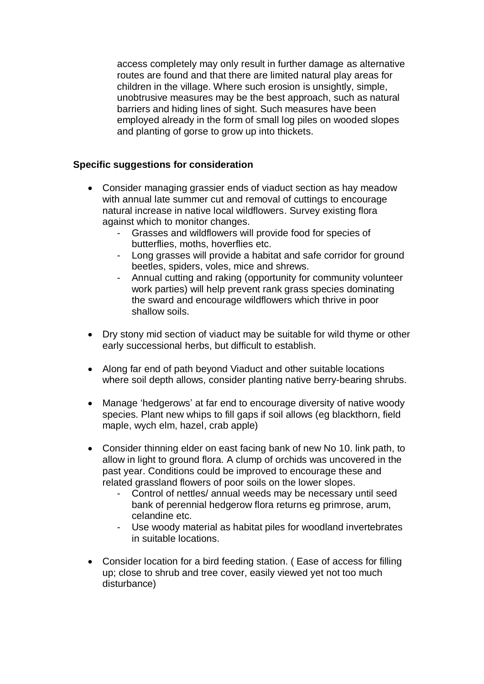access completely may only result in further damage as alternative routes are found and that there are limited natural play areas for children in the village. Where such erosion is unsightly, simple, unobtrusive measures may be the best approach, such as natural barriers and hiding lines of sight. Such measures have been employed already in the form of small log piles on wooded slopes and planting of gorse to grow up into thickets.

# **Specific suggestions for consideration**

- Consider managing grassier ends of viaduct section as hay meadow with annual late summer cut and removal of cuttings to encourage natural increase in native local wildflowers. Survey existing flora against which to monitor changes.
	- Grasses and wildflowers will provide food for species of butterflies, moths, hoverflies etc.
	- Long grasses will provide a habitat and safe corridor for ground beetles, spiders, voles, mice and shrews.
	- Annual cutting and raking (opportunity for community volunteer work parties) will help prevent rank grass species dominating the sward and encourage wildflowers which thrive in poor shallow soils.
- Dry stony mid section of viaduct may be suitable for wild thyme or other early successional herbs, but difficult to establish.
- Along far end of path beyond Viaduct and other suitable locations where soil depth allows, consider planting native berry-bearing shrubs.
- Manage 'hedgerows' at far end to encourage diversity of native woody species. Plant new whips to fill gaps if soil allows (eg blackthorn, field maple, wych elm, hazel, crab apple)
- Consider thinning elder on east facing bank of new No 10. link path, to allow in light to ground flora. A clump of orchids was uncovered in the past year. Conditions could be improved to encourage these and related grassland flowers of poor soils on the lower slopes.
	- Control of nettles/ annual weeds may be necessary until seed bank of perennial hedgerow flora returns eg primrose, arum, celandine etc.
	- Use woody material as habitat piles for woodland invertebrates in suitable locations.
- Consider location for a bird feeding station. ( Ease of access for filling up; close to shrub and tree cover, easily viewed yet not too much disturbance)